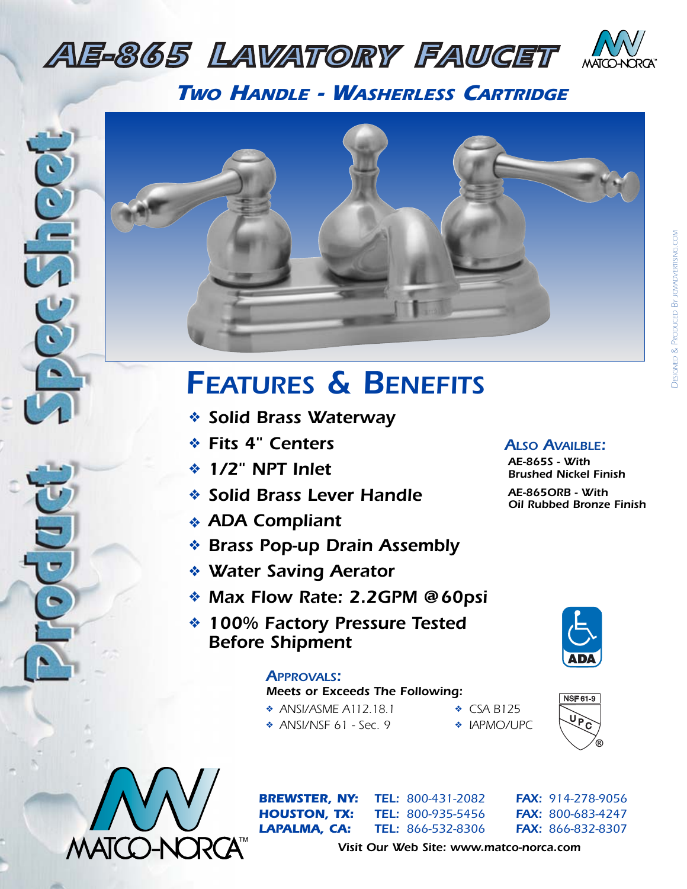## *AE-865 LAVATORY FAUCET*



*TWO HANDLE - WASHERLESS CARTRIDGE*

*AE-165 WIDESPREAD LAVATORY FAUCET*



# *PAPEREAD <b>FEATURES* & BENEFITS

- ❖ *Solid Brass Waterway*
- ❖ *Fits 4" Centers*
- **ALSO KITCHER** *AC***ES ACTIVE AFF**<br>*AF<sup>1</sup> AC*<sup>H</sup> **AIDE** Inlet ❖ *1/2" NPT Inlet*
	- ❖ *Solid Brass Lever Handle*
- ◆ **ADA Compliant** 
	- ❖ *Brass Pop-up Drain Assembly*
- *AE-175 <b><i>L AE-175 <i>L AERATORY <i>LACETA <b>PARTICIPALE PARTICIPALE ACCEPT <i>CCEPTING***</del>** 
	- ❖ *Max Flow Rate: 2.2GPM @60psi*
- **ACCEPT 100% Factory Pressure Tested**  $\left| \begin{array}{c} \left| \begin{array}{c} \left| \begin{array}{c} \right| \end{array} \right| \end{array} \right|$ *Before Shipment*

#### *APPROVALS:*

## *APPROVALS:*<br> *Meets or Exceeds The Following:*<br> *Meets or Exceeds The Following:*

- ❖ *ANSI/ASME A112.18.1* ❖ *CSA B125*
- **AF-875** *AU-875 AU-875 AU-875 AU-875 AU-875 AU-875 AU-875 AU-875 AU-875 AU-875 AU-875 AU-875 AU-875 AU-875 AU-875 AU-875 AU-875 AU-875 AU-875 AU-875 AU-875 AU-875 AU-875 AU-875 AU-875 AU-875 AU-875 AU-875 AU-875 AU-875 AU-*❖ *ANSI/NSF 61 - Sec. 9* ❖ *IAPMO/UPC*
- -



*ALSO AVAILBLE: AE-865S - With Brushed Nickel Finish AE-865ORB - With*

*Oil Rubbed Bronze Finish*





*ATEL:* 800-431-2082

*BREWSTER, NY: TEL: 800-431-2082 FAX: 914-278-9056 HOUSTON, TX: TEL: 800-935-5456 FAX: 800-683-4247 LAPALMA, CA: TEL: 866-532-8306 FAX: 866-832-8307*